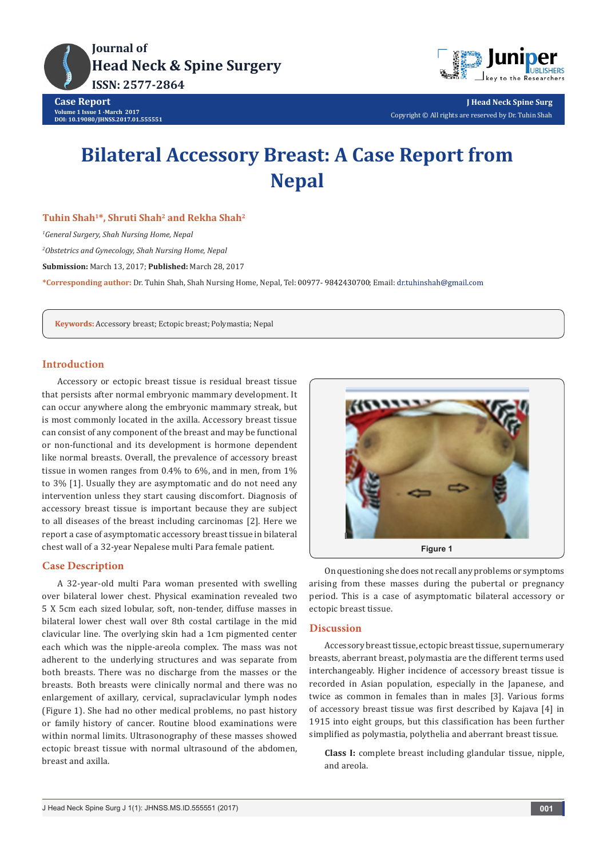



**J Head Neck Spine Surg** Copyright © All rights are reserved by Dr. Tuhin Shah

# **Bilateral Accessory Breast: A Case Report from Nepal**

# **Tuhin Shah1\*, Shruti Shah2 and Rekha Shah2**

*1 General Surgery, Shah Nursing Home, Nepal*

*2 Obstetrics and Gynecology, Shah Nursing Home, Nepal*

**Submission:** March 13, 2017; **Published:** March 28, 2017

\*Corresponding author: Dr. Tuhin Shah, Shah Nursing Home, Nepal, Tel: 00977-9842430700; Email: dr.tuhinshah@gmail.com

**Keywords:** Accessory breast; Ectopic breast; Polymastia; Nepal

## **Introduction**

Accessory or ectopic breast tissue is residual breast tissue that persists after normal embryonic mammary development. It can occur anywhere along the embryonic mammary streak, but is most commonly located in the axilla. Accessory breast tissue can consist of any component of the breast and may be functional or non-functional and its development is hormone dependent like normal breasts. Overall, the prevalence of accessory breast tissue in women ranges from 0.4% to 6%, and in men, from 1% to 3% [1]. Usually they are asymptomatic and do not need any intervention unless they start causing discomfort. Diagnosis of accessory breast tissue is important because they are subject to all diseases of the breast including carcinomas [2]. Here we report a case of asymptomatic accessory breast tissue in bilateral chest wall of a 32-year Nepalese multi Para female patient.

### **Case Description**

A 32-year-old multi Para woman presented with swelling over bilateral lower chest. Physical examination revealed two 5 X 5cm each sized lobular, soft, non-tender, diffuse masses in bilateral lower chest wall over 8th costal cartilage in the mid clavicular line. The overlying skin had a 1cm pigmented center each which was the nipple-areola complex. The mass was not adherent to the underlying structures and was separate from both breasts. There was no discharge from the masses or the breasts. Both breasts were clinically normal and there was no enlargement of axillary, cervical, supraclavicular lymph nodes (Figure 1). She had no other medical problems, no past history or family history of cancer. Routine blood examinations were within normal limits. Ultrasonography of these masses showed ectopic breast tissue with normal ultrasound of the abdomen, breast and axilla.



On questioning she does not recall any problems or symptoms arising from these masses during the pubertal or pregnancy period. This is a case of asymptomatic bilateral accessory or ectopic breast tissue.

#### **Discussion**

Accessory breast tissue, ectopic breast tissue, supernumerary breasts, aberrant breast, polymastia are the different terms used interchangeably. Higher incidence of accessory breast tissue is recorded in Asian population, especially in the Japanese, and twice as common in females than in males [3]. Various forms of accessory breast tissue was first described by Kajava [4] in 1915 into eight groups, but this classification has been further simplified as polymastia, polythelia and aberrant breast tissue.

**Class I:** complete breast including glandular tissue, nipple, and areola.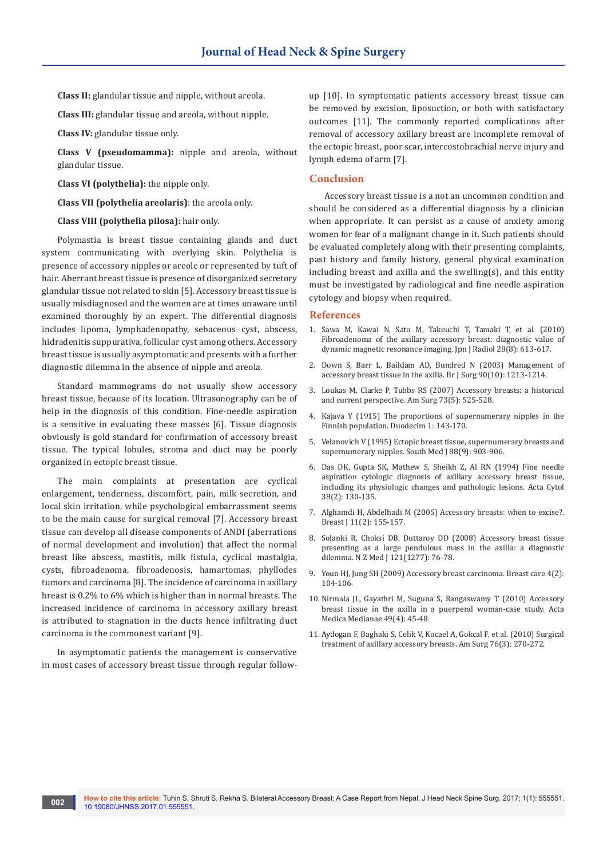**Class II:** glandular tissue and nipple, without areola.

**Class III:** glandular tissue and areola, without nipple.

**Class IV:** glandular tissue only.

**Class V (pseudomamma):** nipple and areola, without glandular tissue.

**Class VI (polythelia):** the nipple only.

**Class VII (polythelia areolaris)**: the areola only.

**Class VIII (polythelia pilosa):** hair only.

Polymastia is breast tissue containing glands and duct system communicating with overlying skin. Polythelia is presence of accessory nipples or areole or represented by tuft of hair. Aberrant breast tissue is presence of disorganized secretory glandular tissue not related to skin [5]. Accessory breast tissue is usually misdiagnosed and the women are at times unaware until examined thoroughly by an expert. The differential diagnosis includes lipoma, lymphadenopathy, sebaceous cyst, abscess, hidradenitis suppurativa, follicular cyst among others. Accessory breast tissue is usually asymptomatic and presents with a further diagnostic dilemma in the absence of nipple and areola.

Standard mammograms do not usually show accessory breast tissue, because of its location. Ultrasonography can be of help in the diagnosis of this condition. Fine-needle aspiration is a sensitive in evaluating these masses [6]. Tissue diagnosis obviously is gold standard for confirmation of accessory breast tissue. The typical lobules, stroma and duct may be poorly organized in ectopic breast tissue.

The main complaints at presentation are cyclical enlargement, tenderness, discomfort, pain, milk secretion, and local skin irritation, while psychological embarrassment seems to be the main cause for surgical removal [7]. Accessory breast tissue can develop all disease components of ANDI (aberrations of normal development and involution) that affect the normal breast like abscess, mastitis, milk fistula, cyclical mastalgia, cysts, fibroadenoma, fibroadenosis, hamartomas, phyllodes tumors and carcinoma [8]. The incidence of carcinoma in axillary breast is 0.2% to 6% which is higher than in normal breasts. The increased incidence of carcinoma in accessory axillary breast is attributed to stagnation in the ducts hence infiltrating duct carcinoma is the commonest variant [9].

In asymptomatic patients the management is conservative in most cases of accessory breast tissue through regular followup [10]. In symptomatic patients accessory breast tissue can be removed by excision, liposuction, or both with satisfactory outcomes [11]. The commonly reported complications after removal of accessory axillary breast are incomplete removal of the ectopic breast, poor scar, intercostobrachial nerve injury and lymph edema of arm [7].

#### **Conclusion**

Accessory breast tissue is a not an uncommon condition and should be considered as a differential diagnosis by a clinician when appropriate. It can persist as a cause of anxiety among women for fear of a malignant change in it. Such patients should be evaluated completely along with their presenting complaints, past history and family history, general physical examination including breast and axilla and the swelling(s), and this entity must be investigated by radiological and fine needle aspiration cytology and biopsy when required.

#### **References**

- 1. [Sawa M, Kawai N, Sato M, Takeuchi T, Tamaki T, et al. \(2010\)](https://www.ncbi.nlm.nih.gov/pubmed/20972862)  [Fibroadenoma of the axillary accessory breast: diagnostic value of](https://www.ncbi.nlm.nih.gov/pubmed/20972862)  [dynamic magnetic resonance imaging. Jpn J Radiol 28\(8\): 613-617.](https://www.ncbi.nlm.nih.gov/pubmed/20972862)
- 2. [Down S, Barr L, Baildam AD, Bundred N \(2003\) Management of](https://www.ncbi.nlm.nih.gov/pubmed/14515288)  [accessory breast tissue in the axilla. Br J Surg 90\(10\): 1213-1214.](https://www.ncbi.nlm.nih.gov/pubmed/14515288)
- 3. [Loukas M, Clarke P, Tubbs RS \(2007\) Accessory breasts: a historical](https://www.ncbi.nlm.nih.gov/pubmed/17521013)  and current perspective. [Am Surg 73\(5\): 525-528.](https://www.ncbi.nlm.nih.gov/pubmed/17521013)
- 4. Kajava Y (1915) The proportions of supernumerary nipples in the Finnish population. Duodecim 1: 143-170.
- 5. [Velanovich V \(1995\) Ectopic breast tissue, supernumerary breasts and](https://www.ncbi.nlm.nih.gov/pubmed/7660204)  [supernumerary nipples. South Med J 88\(9\): 903-906.](https://www.ncbi.nlm.nih.gov/pubmed/7660204)
- 6. [Das DK, Gupta SK, Mathew S, Sheikh Z, Al RN \(1994\) Fine needle](https://www.ncbi.nlm.nih.gov/pubmed/8147201)  [aspiration cytologic diagnosis of axillary accessory breast tissue,](https://www.ncbi.nlm.nih.gov/pubmed/8147201)  [including its physiologic changes and pathologic lesions. Acta Cytol](https://www.ncbi.nlm.nih.gov/pubmed/8147201)  [38\(2\): 130-135.](https://www.ncbi.nlm.nih.gov/pubmed/8147201)
- 7. [Alghamdi H, Abdelhadi M \(2005\) Accessory breasts: when to excise?.](https://www.ncbi.nlm.nih.gov/pubmed/15730471)  [Breast J 11\(2\): 155-157.](https://www.ncbi.nlm.nih.gov/pubmed/15730471)
- 8. [Solanki R, Choksi DB, Duttaroy DD \(2008\) Accessory breast tissue](https://www.ncbi.nlm.nih.gov/pubmed/18677333)  [presenting as a large pendulous mass in the axilla: a diagnostic](https://www.ncbi.nlm.nih.gov/pubmed/18677333)  [dilemma. N Z Med J 121\(1277\): 76-78.](https://www.ncbi.nlm.nih.gov/pubmed/18677333)
- 9. [Youn HJ, Jung SH \(2009\) Accessory breast carcinoma. Breast care 4\(2\):](https://www.ncbi.nlm.nih.gov/pubmed/20847887/)  [104-106.](https://www.ncbi.nlm.nih.gov/pubmed/20847887/)
- 10. [Nirmala JL, Gayathri M, Suguna S, Rangaswamy T \(2010\) Accessory](http://publisher.medfak.ni.ac.rs/2010-html/4-broj/45-48%20Nirmala%20Jaget%20Lakkawar-Accessory%20breast%20tissue....pdf)  [breast tissue in the axilla in a puerperal woman-case study. Acta](http://publisher.medfak.ni.ac.rs/2010-html/4-broj/45-48%20Nirmala%20Jaget%20Lakkawar-Accessory%20breast%20tissue....pdf)  [Medica Medianae 49\(4\): 45-48.](http://publisher.medfak.ni.ac.rs/2010-html/4-broj/45-48%20Nirmala%20Jaget%20Lakkawar-Accessory%20breast%20tissue....pdf)
- 11. [Aydogan F, Baghaki S, Celik V, Kocael A, Gokcal F, et al. \(2010\) Surgical](https://www.ncbi.nlm.nih.gov/pubmed/20349654)  [treatment of axillary accessory breasts. Am Surg 76\(3\): 270-272.](https://www.ncbi.nlm.nih.gov/pubmed/20349654)